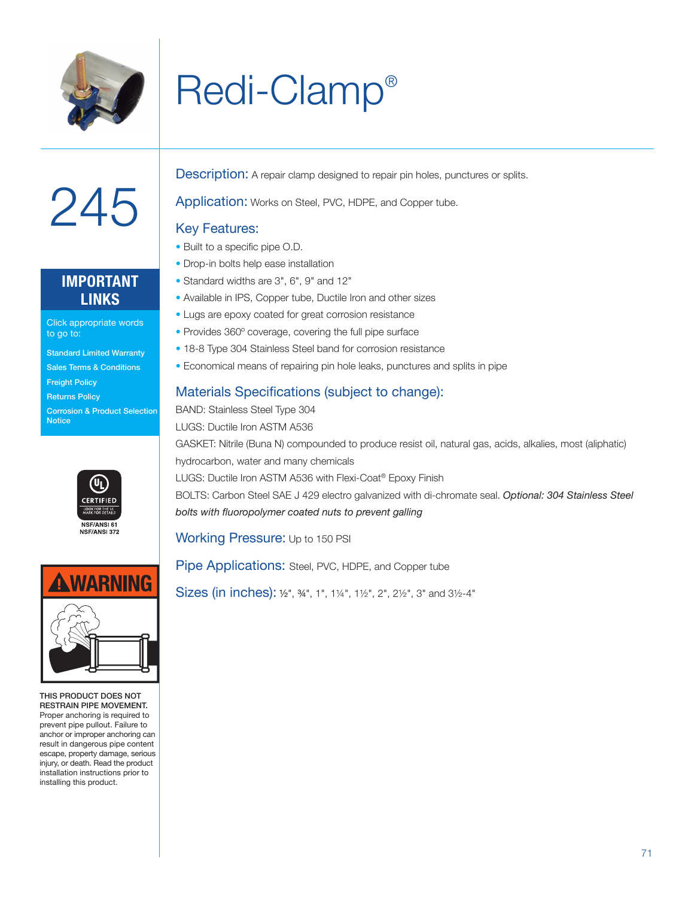

## Redi-Clamp®



### **IMPORTANT LINKS**

Click appropriate words to go to:

Standard Limited Warranty Sales Terms & Conditions

Freight Policy

Returns Policy

Corrosion & Product Selection **Notice** 





THIS PRODUCT DOES NOT RESTRAIN PIPE MOVEMENT. Proper anchoring is required to prevent pipe pullout. Failure to anchor or improper anchoring can result in dangerous pipe content escape, property damage, serious injury, or death. Read the product installation instructions prior to installing this product.

**Description:** A repair clamp designed to repair pin holes, punctures or splits.

Application: Works on Steel, PVC, HDPE, and Copper tube.

#### Key Features:

- Built to a specific pipe O.D.
- Drop-in bolts help ease installation
- Standard widths are 3", 6", 9" and 12"
- Available in IPS, Copper tube, Ductile Iron and other sizes
- Lugs are epoxy coated for great corrosion resistance
- Provides 360º coverage, covering the full pipe surface
- 18-8 Type 304 Stainless Steel band for corrosion resistance
- Economical means of repairing pin hole leaks, punctures and splits in pipe

#### Materials Specifications (subject to change):

BAND: Stainless Steel Type 304 LUGS: Ductile Iron ASTM A536 GASKET: Nitrile (Buna N) compounded to produce resist oil, natural gas, acids, alkalies, most (aliphatic) hydrocarbon, water and many chemicals LUGS: Ductile Iron ASTM A536 with Flexi-Coat® Epoxy Finish BOLTS: Carbon Steel SAE J 429 electro galvanized with di-chromate seal. *Optional: 304 Stainless Steel bolts with fluoropolymer coated nuts to prevent galling*

Working Pressure: Up to 150 PSI

Pipe Applications: Steel, PVC, HDPE, and Copper tube

Sizes (in inches): ½", ¾", 1", 1¼", 1½", 2", 2½", 3" and 3½-4"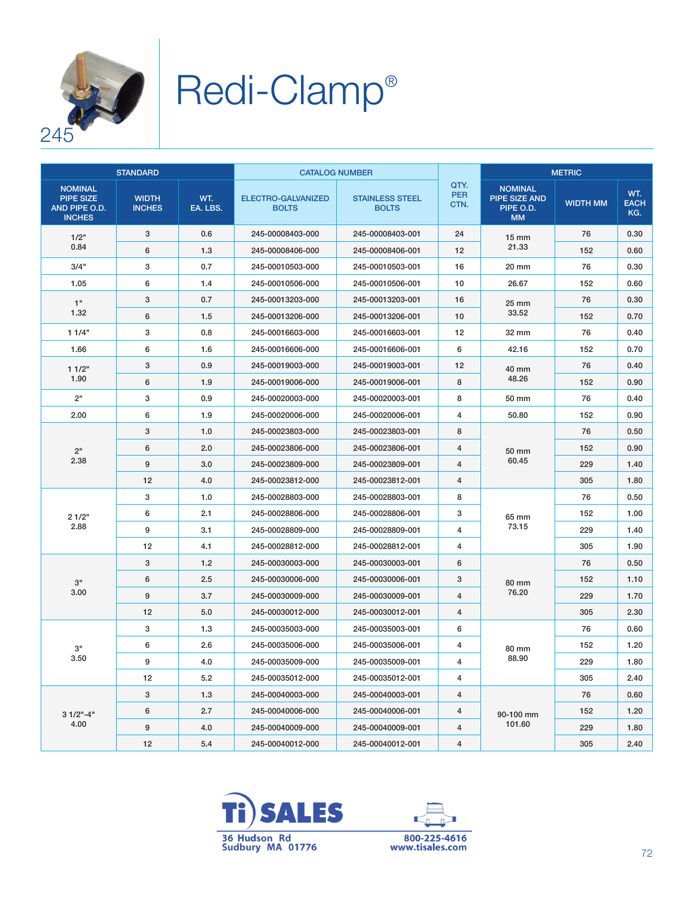

# Redi-Clamp®

| <b>STANDARD</b>                                                      |                               |                 | <b>CATALOG NUMBER</b>              |                                        |                            | <b>METRIC</b>                                                    |                 |                           |
|----------------------------------------------------------------------|-------------------------------|-----------------|------------------------------------|----------------------------------------|----------------------------|------------------------------------------------------------------|-----------------|---------------------------|
| <b>NOMINAL</b><br><b>PIPE SIZE</b><br>AND PIPE O.D.<br><b>INCHES</b> | <b>WIDTH</b><br><b>INCHES</b> | WT.<br>EA. LBS. | ELECTRO-GALVANIZED<br><b>BOLTS</b> | <b>STAINLESS STEEL</b><br><b>BOLTS</b> | QTY.<br><b>PER</b><br>CTN. | <b>NOMINAL</b><br><b>PIPE SIZE AND</b><br>PIPE O.D.<br><b>MM</b> | <b>WIDTH MM</b> | WT.<br><b>EACH</b><br>KG. |
| 1/2"<br>0.84                                                         | 3                             | 0.6             | 245-00008403-000                   | 245-00008403-001                       | 24                         | $15 \text{ mm}$<br>21.33                                         | 76              | 0.30                      |
|                                                                      | 6                             | 1.3             | 245-00008406-000                   | 245-00008406-001                       | 12                         |                                                                  | 152             | 0.60                      |
| 3/4"                                                                 | 3                             | 0.7             | 245-00010503-000                   | 245-00010503-001                       | 16                         | 20 mm                                                            | 76              | 0.30                      |
| 1.05                                                                 | 6                             | 1.4             | 245-00010506-000                   | 245-00010506-001                       | 10                         | 26.67                                                            | 152             | 0.60                      |
| 1"<br>1.32                                                           | 3                             | 0.7             | 245-00013203-000                   | 245-00013203-001                       | 16                         | 25 mm<br>33.52                                                   | 76              | 0.30                      |
|                                                                      | 6                             | 1.5             | 245-00013206-000                   | 245-00013206-001                       | 10                         |                                                                  | 152             | 0.70                      |
| 11/4"                                                                | 3                             | 0.8             | 245-00016603-000                   | 245-00016603-001                       | 12                         | 32 mm                                                            | 76              | 0.40                      |
| 1.66                                                                 | $6\phantom{1}6$               | 1.6             | 245-00016606-000                   | 245-00016606-001                       | 6                          | 42.16                                                            | 152             | 0.70                      |
| 11/2"<br>1.90                                                        | 3                             | 0.9             | 245-00019003-000                   | 245-00019003-001                       | 12                         | 40 mm<br>48.26                                                   | 76              | 0.40                      |
|                                                                      | 6                             | 1.9             | 245-00019006-000                   | 245-00019006-001                       | 8                          |                                                                  | 152             | 0.90                      |
| 2"                                                                   | 3                             | 0.9             | 245-00020003-000                   | 245-00020003-001                       | 8                          | 50 mm                                                            | 76              | 0.40                      |
| 2.00                                                                 | 6                             | 1.9             | 245-00020006-000                   | 245-00020006-001                       | $\overline{4}$             | 50,80                                                            | 152             | 0.90                      |
|                                                                      | 3                             | 1.0             | 245-00023803-000                   | 245-00023803-001                       | 8                          | 50 mm<br>60.45                                                   | 76              | 0.50                      |
| 2 <sup>''</sup><br>2.38                                              | 6                             | 2.0             | 245-00023806-000                   | 245-00023806-001                       | 4                          |                                                                  | 152             | 0.90                      |
|                                                                      | 9                             | 3.0             | 245-00023809-000                   | 245-00023809-001                       | $\overline{4}$             |                                                                  | 229             | 1.40                      |
|                                                                      | 12                            | 4.0             | 245-00023812-000                   | 245-00023812-001                       | $\overline{4}$             |                                                                  | 305             | 1.80                      |
|                                                                      | 3                             | 1.0             | 245-00028803-000                   | 245-00028803-001                       | 8                          | 65 mm<br>73.15                                                   | 76              | 0.50                      |
| 21/2"<br>2.88                                                        | 6                             | 2.1             | 245-00028806-000                   | 245-00028806-001                       | 3                          |                                                                  | 152             | 1.00                      |
|                                                                      | 9                             | 3.1             | 245-00028809-000                   | 245-00028809-001                       | 4                          |                                                                  | 229             | 1.40                      |
|                                                                      | 12                            | 4.1             | 245-00028812-000                   | 245-00028812-001                       | $\overline{4}$             |                                                                  | 305             | 1.90                      |
| 3"<br>3.00                                                           | 3                             | 1.2             | 245-00030003-000                   | 245-00030003-001                       | 6                          | 80 mm<br>76.20                                                   | 76              | 0.50                      |
|                                                                      | 6                             | 2.5             | 245-00030006-000                   | 245-00030006-001                       | 3                          |                                                                  | 152             | 1.10                      |
|                                                                      | 9                             | 3.7             | 245-00030009-000                   | 245-00030009-001                       | $\overline{4}$             |                                                                  | 229             | 1.70                      |
|                                                                      | 12                            | 5.0             | 245-00030012-000                   | 245-00030012-001                       | $\overline{4}$             |                                                                  | 305             | 2.30                      |
| з"<br>3.50                                                           | 3                             | 1.3             | 245-00035003-000                   | 245-00035003-001                       | 6                          | 80 mm<br>88.90                                                   | 76              | 0.60                      |
|                                                                      | 6                             | 2.6             | 245-00035006-000                   | 245-00035006-001                       | 4                          |                                                                  | 152             | 1.20                      |
|                                                                      | 9                             | 4.0             | 245-00035009-000                   | 245-00035009-001                       | 4                          |                                                                  | 229             | 1.80                      |
|                                                                      | 12                            | 5.2             | 245-00035012-000                   | 245-00035012-001                       | 4                          |                                                                  | 305             | 2.40                      |
| $31/2$ "-4"<br>4.00                                                  | 3                             | 1.3             | 245-00040003-000                   | 245-00040003-001                       | 4                          | 90-100 mm<br>101.60                                              | 76              | 0.60                      |
|                                                                      | 6                             | 2.7             | 245-00040006-000                   | 245-00040006-001                       | 4                          |                                                                  | 152             | 1.20                      |
|                                                                      | 9                             | 4.0             | 245-00040009-000                   | 245-00040009-001                       | 4                          |                                                                  | 229             | 1.80                      |
|                                                                      | 12                            | 5.4             | 245-00040012-000                   | 245-00040012-001                       | 4                          |                                                                  | 305             | 2.40                      |